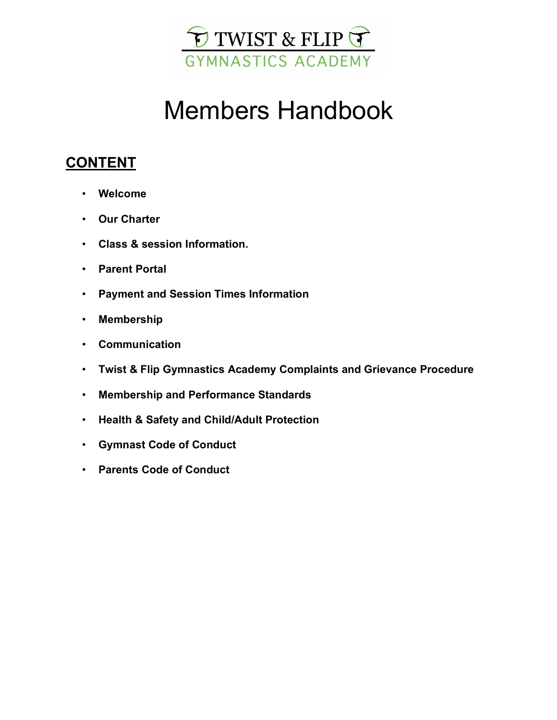

# Members Handbook

# **CONTENT**

- **Welcome**
- **Our Charter**
- **Class & session Information.**
- **Parent Portal**
- **Payment and Session Times Information**
- **Membership**
- **Communication**
- **Twist & Flip Gymnastics Academy Complaints and Grievance Procedure**
- **Membership and Performance Standards**
- **Health & Safety and Child/Adult Protection**
- **Gymnast Code of Conduct**
- **Parents Code of Conduct**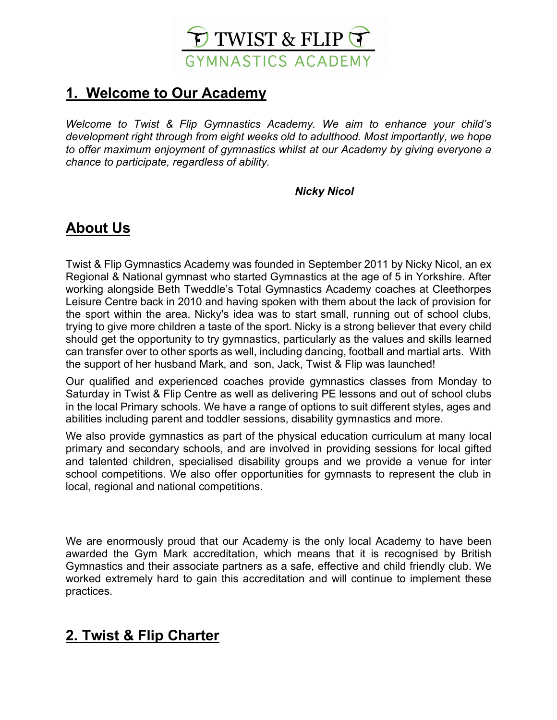

# **1. Welcome to Our Academy**

*Welcome to Twist & Flip Gymnastics Academy. We aim to enhance your child's development right through from eight weeks old to adulthood. Most importantly, we hope to offer maximum enjoyment of gymnastics whilst at our Academy by giving everyone a chance to participate, regardless of ability.*

#### **Nicky Nicol**

# **About Us**

Twist & Flip Gymnastics Academy was founded in September 2011 by Nicky Nicol, an ex Regional & National gymnast who started Gymnastics at the age of 5 in Yorkshire. After working alongside Beth Tweddle's Total Gymnastics Academy coaches at Cleethorpes Leisure Centre back in 2010 and having spoken with them about the lack of provision for the sport within the area. Nicky's idea was to start small, running out of school clubs, trying to give more children a taste of the sport. Nicky is a strong believer that every child should get the opportunity to try gymnastics, particularly as the values and skills learned can transfer over to other sports as well, including dancing, football and martial arts. With the support of her husband Mark, and son, Jack, Twist & Flip was launched!

Our qualified and experienced coaches provide gymnastics classes from Monday to Saturday in Twist & Flip Centre as well as delivering PE lessons and out of school clubs in the local Primary schools. We have a range of options to suit different styles, ages and abilities including parent and toddler sessions, disability gymnastics and more.

We also provide gymnastics as part of the physical education curriculum at many local primary and secondary schools, and are involved in providing sessions for local gifted and talented children, specialised disability groups and we provide a venue for inter school competitions. We also offer opportunities for gymnasts to represent the club in local, regional and national competitions.

We are enormously proud that our Academy is the only local Academy to have been awarded the Gym Mark accreditation, which means that it is recognised by British Gymnastics and their associate partners as a safe, effective and child friendly club. We worked extremely hard to gain this accreditation and will continue to implement these practices.

# **2. Twist & Flip Charter**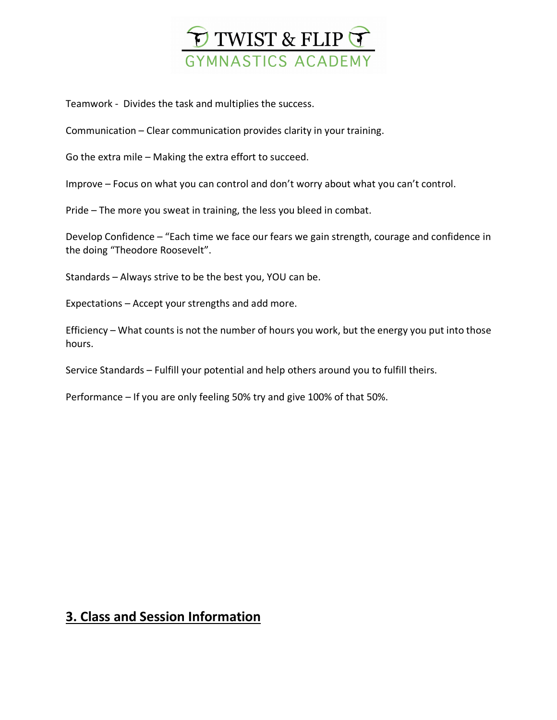

Teamwork - Divides the task and multiplies the success.

Communication – Clear communication provides clarity in your training.

Go the extra mile – Making the extra effort to succeed.

Improve – Focus on what you can control and don't worry about what you can't control.

Pride – The more you sweat in training, the less you bleed in combat.

Develop Confidence – "Each time we face our fears we gain strength, courage and confidence in the doing "Theodore Roosevelt".

Standards – Always strive to be the best you, YOU can be.

Expectations – Accept your strengths and add more.

Efficiency – What counts is not the number of hours you work, but the energy you put into those hours.

Service Standards – Fulfill your potential and help others around you to fulfill theirs.

Performance – If you are only feeling 50% try and give 100% of that 50%.

### **3. Class and Session Information**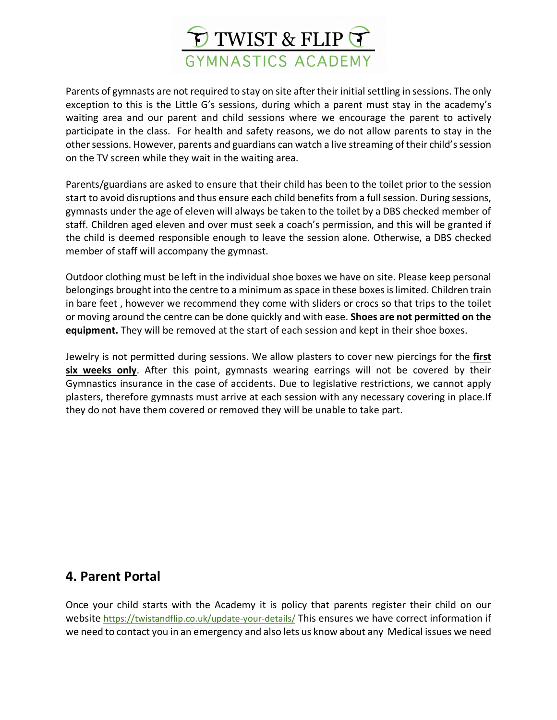

Parents of gymnasts are not required to stay on site after their initial settling in sessions. The only exception to this is the Little G's sessions, during which a parent must stay in the academy's waiting area and our parent and child sessions where we encourage the parent to actively participate in the class. For health and safety reasons, we do not allow parents to stay in the other sessions. However, parents and guardians can watch a live streaming of their child's session on the TV screen while they wait in the waiting area.

Parents/guardians are asked to ensure that their child has been to the toilet prior to the session start to avoid disruptions and thus ensure each child benefits from a full session. During sessions, gymnasts under the age of eleven will always be taken to the toilet by a DBS checked member of staff. Children aged eleven and over must seek a coach's permission, and this will be granted if the child is deemed responsible enough to leave the session alone. Otherwise, a DBS checked member of staff will accompany the gymnast.

Outdoor clothing must be left in the individual shoe boxes we have on site. Please keep personal belongings brought into the centre to a minimum as space in these boxes is limited. Children train in bare feet , however we recommend they come with sliders or crocs so that trips to the toilet or moving around the centre can be done quickly and with ease. **Shoes are not permitted on the equipment.** They will be removed at the start of each session and kept in their shoe boxes.

Jewelry is not permitted during sessions. We allow plasters to cover new piercings for the **first six weeks only**. After this point, gymnasts wearing earrings will not be covered by their Gymnastics insurance in the case of accidents. Due to legislative restrictions, we cannot apply plasters, therefore gymnasts must arrive at each session with any necessary covering in place.If they do not have them covered or removed they will be unable to take part.

### **4. Parent Portal**

Once your child starts with the Academy it is policy that parents register their child on our website https://twistandflip.co.uk/update-your-details/ This ensures we have correct information if we need to contact you in an emergency and also lets us know about any Medical issues we need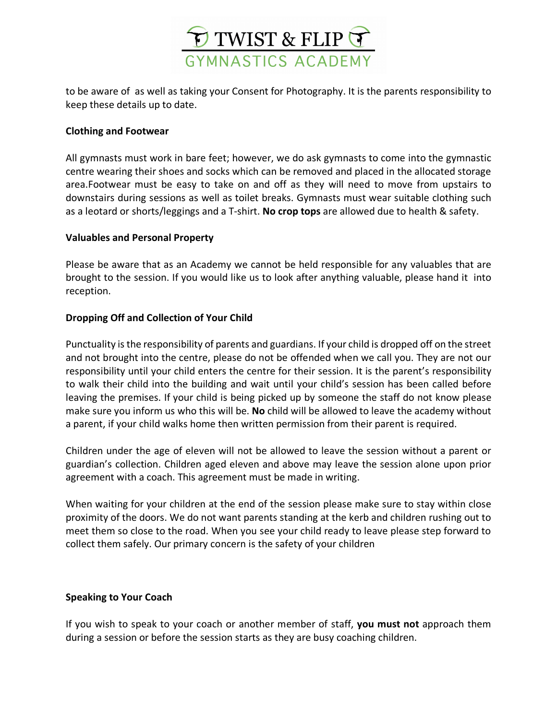

to be aware of as well as taking your Consent for Photography. It is the parents responsibility to keep these details up to date.

#### **Clothing and Footwear**

All gymnasts must work in bare feet; however, we do ask gymnasts to come into the gymnastic centre wearing their shoes and socks which can be removed and placed in the allocated storage area.Footwear must be easy to take on and off as they will need to move from upstairs to downstairs during sessions as well as toilet breaks. Gymnasts must wear suitable clothing such as a leotard or shorts/leggings and a T-shirt. **No crop tops** are allowed due to health & safety.

#### **Valuables and Personal Property**

Please be aware that as an Academy we cannot be held responsible for any valuables that are brought to the session. If you would like us to look after anything valuable, please hand it into reception.

#### **Dropping Off and Collection of Your Child**

Punctuality is the responsibility of parents and guardians. If your child is dropped off on the street and not brought into the centre, please do not be offended when we call you. They are not our responsibility until your child enters the centre for their session. It is the parent's responsibility to walk their child into the building and wait until your child's session has been called before leaving the premises. If your child is being picked up by someone the staff do not know please make sure you inform us who this will be. **No** child will be allowed to leave the academy without a parent, if your child walks home then written permission from their parent is required.

Children under the age of eleven will not be allowed to leave the session without a parent or guardian's collection. Children aged eleven and above may leave the session alone upon prior agreement with a coach. This agreement must be made in writing.

When waiting for your children at the end of the session please make sure to stay within close proximity of the doors. We do not want parents standing at the kerb and children rushing out to meet them so close to the road. When you see your child ready to leave please step forward to collect them safely. Our primary concern is the safety of your children

#### **Speaking to Your Coach**

If you wish to speak to your coach or another member of staff, **you must not** approach them during a session or before the session starts as they are busy coaching children.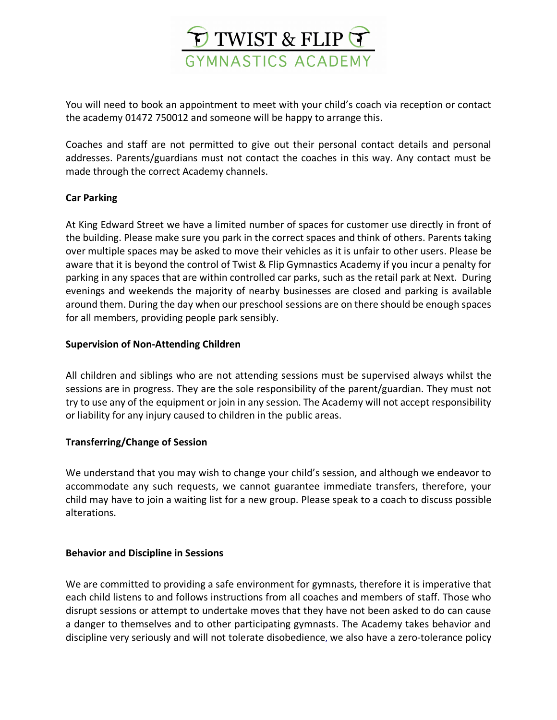

You will need to book an appointment to meet with your child's coach via reception or contact the academy 01472 750012 and someone will be happy to arrange this.

Coaches and staff are not permitted to give out their personal contact details and personal addresses. Parents/guardians must not contact the coaches in this way. Any contact must be made through the correct Academy channels.

#### **Car Parking**

At King Edward Street we have a limited number of spaces for customer use directly in front of the building. Please make sure you park in the correct spaces and think of others. Parents taking over multiple spaces may be asked to move their vehicles as it is unfair to other users. Please be aware that it is beyond the control of Twist & Flip Gymnastics Academy if you incur a penalty for parking in any spaces that are within controlled car parks, such as the retail park at Next. During evenings and weekends the majority of nearby businesses are closed and parking is available around them. During the day when our preschool sessions are on there should be enough spaces for all members, providing people park sensibly.

#### **Supervision of Non-Attending Children**

All children and siblings who are not attending sessions must be supervised always whilst the sessions are in progress. They are the sole responsibility of the parent/guardian. They must not try to use any of the equipment or join in any session. The Academy will not accept responsibility or liability for any injury caused to children in the public areas.

#### **Transferring/Change of Session**

We understand that you may wish to change your child's session, and although we endeavor to accommodate any such requests, we cannot guarantee immediate transfers, therefore, your child may have to join a waiting list for a new group. Please speak to a coach to discuss possible alterations.

#### **Behavior and Discipline in Sessions**

We are committed to providing a safe environment for gymnasts, therefore it is imperative that each child listens to and follows instructions from all coaches and members of staff. Those who disrupt sessions or attempt to undertake moves that they have not been asked to do can cause a danger to themselves and to other participating gymnasts. The Academy takes behavior and discipline very seriously and will not tolerate disobedience, we also have a zero-tolerance policy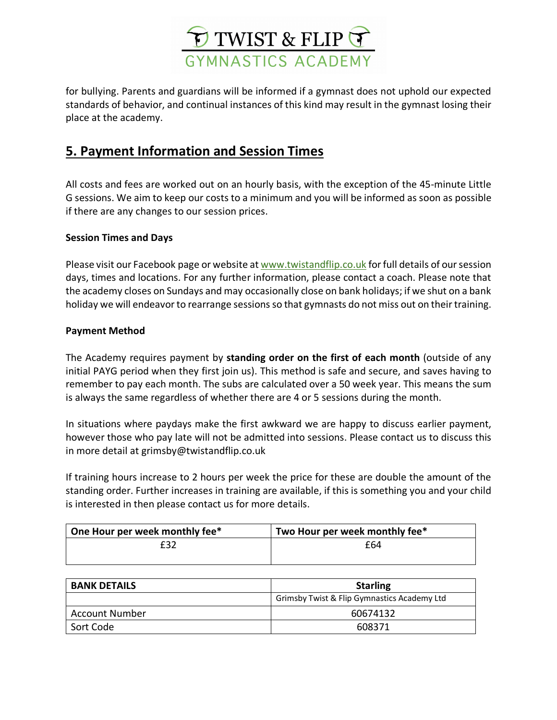

for bullying. Parents and guardians will be informed if a gymnast does not uphold our expected standards of behavior, and continual instances of this kind may result in the gymnast losing their place at the academy.

### **5. Payment Information and Session Times**

All costs and fees are worked out on an hourly basis, with the exception of the 45-minute Little G sessions. We aim to keep our costs to a minimum and you will be informed as soon as possible if there are any changes to our session prices.

#### **Session Times and Days**

Please visit our Facebook page or website at www.twistandflip.co.uk for full details of our session days, times and locations. For any further information, please contact a coach. Please note that the academy closes on Sundays and may occasionally close on bank holidays; if we shut on a bank holiday we will endeavor to rearrange sessions so that gymnasts do not miss out on their training.

#### **Payment Method**

The Academy requires payment by **standing order on the first of each month** (outside of any initial PAYG period when they first join us). This method is safe and secure, and saves having to remember to pay each month. The subs are calculated over a 50 week year. This means the sum is always the same regardless of whether there are 4 or 5 sessions during the month.

In situations where paydays make the first awkward we are happy to discuss earlier payment, however those who pay late will not be admitted into sessions. Please contact us to discuss this in more detail at grimsby@twistandflip.co.uk

If training hours increase to 2 hours per week the price for these are double the amount of the standing order. Further increases in training are available, if this is something you and your child is interested in then please contact us for more details.

| One Hour per week monthly fee* | Two Hour per week monthly fee* |
|--------------------------------|--------------------------------|
| £32                            | £64                            |
|                                |                                |

| <b>BANK DETAILS</b>   | <b>Starling</b>                             |
|-----------------------|---------------------------------------------|
|                       | Grimsby Twist & Flip Gymnastics Academy Ltd |
| <b>Account Number</b> | 60674132                                    |
| Sort Code             | 608371                                      |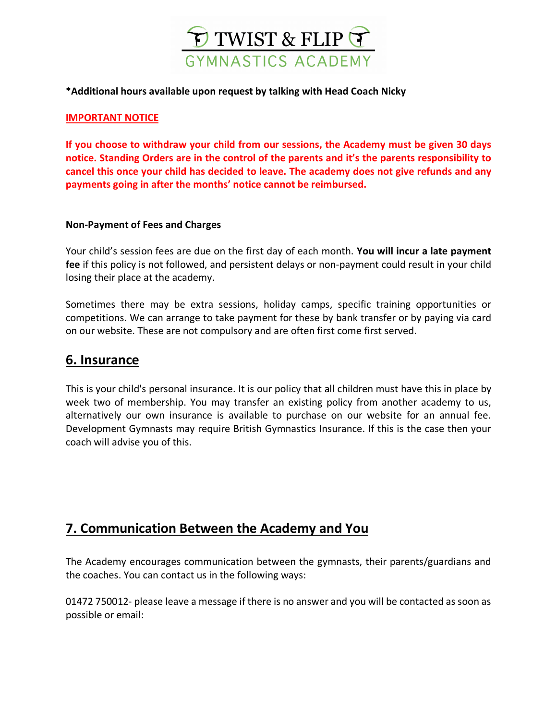

#### **\*Additional hours available upon request by talking with Head Coach Nicky**

#### **IMPORTANT NOTICE**

**If you choose to withdraw your child from our sessions, the Academy must be given 30 days notice. Standing Orders are in the control of the parents and it's the parents responsibility to cancel this once your child has decided to leave. The academy does not give refunds and any payments going in after the months' notice cannot be reimbursed.** 

#### **Non-Payment of Fees and Charges**

Your child's session fees are due on the first day of each month. **You will incur a late payment fee** if this policy is not followed, and persistent delays or non-payment could result in your child losing their place at the academy.

Sometimes there may be extra sessions, holiday camps, specific training opportunities or competitions. We can arrange to take payment for these by bank transfer or by paying via card on our website. These are not compulsory and are often first come first served.

#### **6. Insurance**

This is your child's personal insurance. It is our policy that all children must have this in place by week two of membership. You may transfer an existing policy from another academy to us, alternatively our own insurance is available to purchase on our website for an annual fee. Development Gymnasts may require British Gymnastics Insurance. If this is the case then your coach will advise you of this.

### **7. Communication Between the Academy and You**

The Academy encourages communication between the gymnasts, their parents/guardians and the coaches. You can contact us in the following ways:

01472 750012- please leave a message if there is no answer and you will be contacted as soon as possible or email: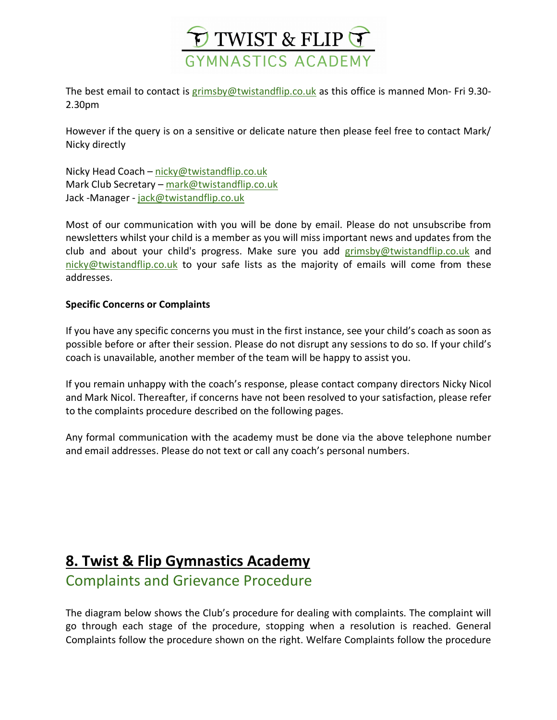

The best email to contact is grimsby@twistandflip.co.uk as this office is manned Mon- Fri 9.30- 2.30pm

However if the query is on a sensitive or delicate nature then please feel free to contact Mark/ Nicky directly

Nicky Head Coach – nicky@twistandflip.co.uk Mark Club Secretary - mark@twistandflip.co.uk Jack -Manager - jack@twistandflip.co.uk

Most of our communication with you will be done by email. Please do not unsubscribe from newsletters whilst your child is a member as you will miss important news and updates from the club and about your child's progress. Make sure you add grimsby@twistandflip.co.uk and nicky@twistandflip.co.uk to your safe lists as the majority of emails will come from these addresses.

#### **Specific Concerns or Complaints**

If you have any specific concerns you must in the first instance, see your child's coach as soon as possible before or after their session. Please do not disrupt any sessions to do so. If your child's coach is unavailable, another member of the team will be happy to assist you.

If you remain unhappy with the coach's response, please contact company directors Nicky Nicol and Mark Nicol. Thereafter, if concerns have not been resolved to your satisfaction, please refer to the complaints procedure described on the following pages.

Any formal communication with the academy must be done via the above telephone number and email addresses. Please do not text or call any coach's personal numbers.

# **8. Twist & Flip Gymnastics Academy**

### Complaints and Grievance Procedure

The diagram below shows the Club's procedure for dealing with complaints. The complaint will go through each stage of the procedure, stopping when a resolution is reached. General Complaints follow the procedure shown on the right. Welfare Complaints follow the procedure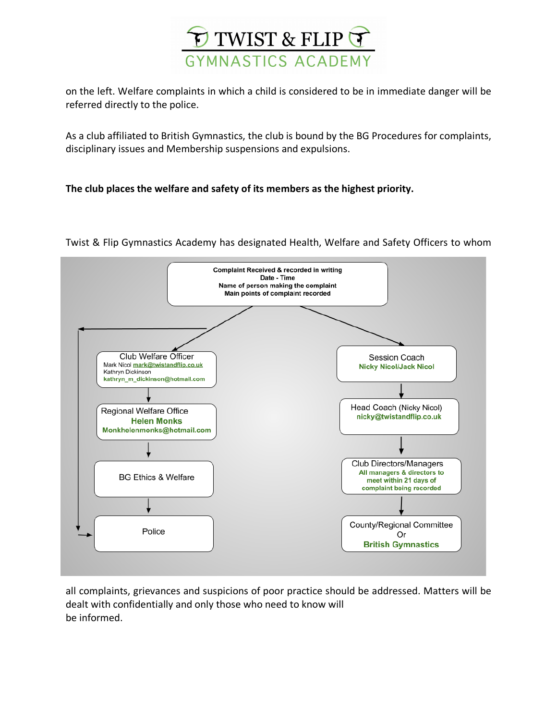

on the left. Welfare complaints in which a child is considered to be in immediate danger will be referred directly to the police.

As a club affiliated to British Gymnastics, the club is bound by the BG Procedures for complaints, disciplinary issues and Membership suspensions and expulsions.

#### **The club places the welfare and safety of its members as the highest priority.**



Twist & Flip Gymnastics Academy has designated Health, Welfare and Safety Officers to whom

all complaints, grievances and suspicions of poor practice should be addressed. Matters will be dealt with confidentially and only those who need to know will be informed.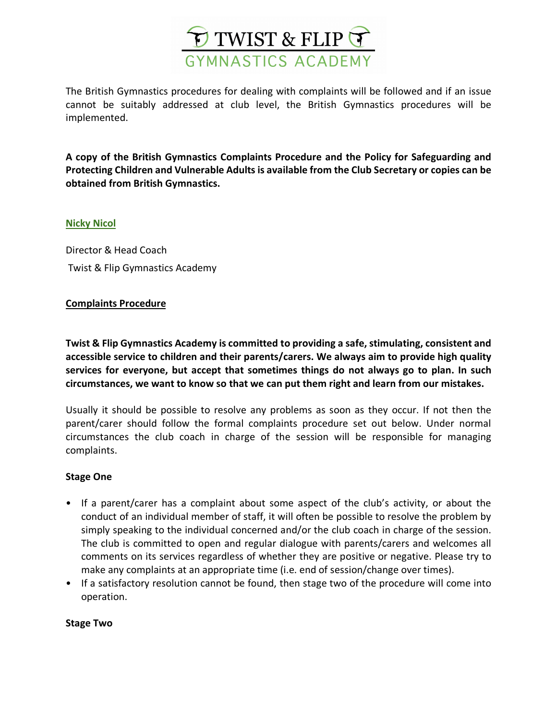

The British Gymnastics procedures for dealing with complaints will be followed and if an issue cannot be suitably addressed at club level, the British Gymnastics procedures will be implemented.

**A copy of the British Gymnastics Complaints Procedure and the Policy for Safeguarding and Protecting Children and Vulnerable Adults is available from the Club Secretary or copies can be obtained from British Gymnastics.**

#### **Nicky Nicol**

Director & Head Coach Twist & Flip Gymnastics Academy

#### **Complaints Procedure**

**Twist & Flip Gymnastics Academy is committed to providing a safe, stimulating, consistent and accessible service to children and their parents/carers. We always aim to provide high quality services for everyone, but accept that sometimes things do not always go to plan. In such circumstances, we want to know so that we can put them right and learn from our mistakes.**

Usually it should be possible to resolve any problems as soon as they occur. If not then the parent/carer should follow the formal complaints procedure set out below. Under normal circumstances the club coach in charge of the session will be responsible for managing complaints.

#### **Stage One**

- If a parent/carer has a complaint about some aspect of the club's activity, or about the conduct of an individual member of staff, it will often be possible to resolve the problem by simply speaking to the individual concerned and/or the club coach in charge of the session. The club is committed to open and regular dialogue with parents/carers and welcomes all comments on its services regardless of whether they are positive or negative. Please try to make any complaints at an appropriate time (i.e. end of session/change over times).
- If a satisfactory resolution cannot be found, then stage two of the procedure will come into operation.

#### **Stage Two**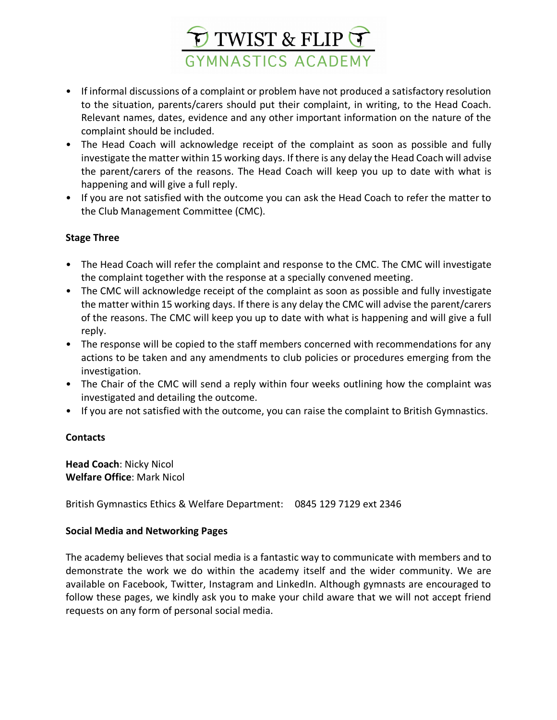

- If informal discussions of a complaint or problem have not produced a satisfactory resolution to the situation, parents/carers should put their complaint, in writing, to the Head Coach. Relevant names, dates, evidence and any other important information on the nature of the complaint should be included.
- The Head Coach will acknowledge receipt of the complaint as soon as possible and fully investigate the matter within 15 working days. If there is any delay the Head Coach will advise the parent/carers of the reasons. The Head Coach will keep you up to date with what is happening and will give a full reply.
- If you are not satisfied with the outcome you can ask the Head Coach to refer the matter to the Club Management Committee (CMC).

#### **Stage Three**

- The Head Coach will refer the complaint and response to the CMC. The CMC will investigate the complaint together with the response at a specially convened meeting.
- The CMC will acknowledge receipt of the complaint as soon as possible and fully investigate the matter within 15 working days. If there is any delay the CMC will advise the parent/carers of the reasons. The CMC will keep you up to date with what is happening and will give a full reply.
- The response will be copied to the staff members concerned with recommendations for any actions to be taken and any amendments to club policies or procedures emerging from the investigation.
- The Chair of the CMC will send a reply within four weeks outlining how the complaint was investigated and detailing the outcome.
- If you are not satisfied with the outcome, you can raise the complaint to British Gymnastics.

#### **Contacts**

**Head Coach**: Nicky Nicol **Welfare Office**: Mark Nicol

British Gymnastics Ethics & Welfare Department: 0845 129 7129 ext 2346

#### **Social Media and Networking Pages**

The academy believes that social media is a fantastic way to communicate with members and to demonstrate the work we do within the academy itself and the wider community. We are available on Facebook, Twitter, Instagram and LinkedIn. Although gymnasts are encouraged to follow these pages, we kindly ask you to make your child aware that we will not accept friend requests on any form of personal social media.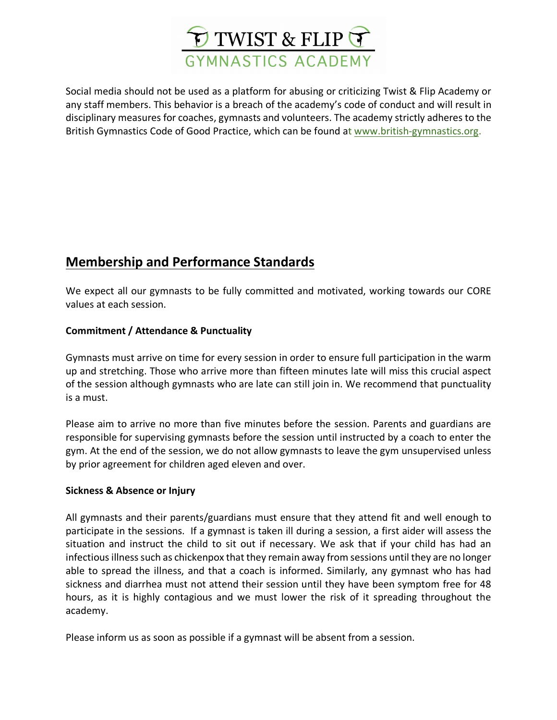

Social media should not be used as a platform for abusing or criticizing Twist & Flip Academy or any staff members. This behavior is a breach of the academy's code of conduct and will result in disciplinary measures for coaches, gymnasts and volunteers. The academy strictly adheres to the British Gymnastics Code of Good Practice, which can be found at www.british-gymnastics.org.

### **Membership and Performance Standards**

We expect all our gymnasts to be fully committed and motivated, working towards our CORE values at each session.

#### **Commitment / Attendance & Punctuality**

Gymnasts must arrive on time for every session in order to ensure full participation in the warm up and stretching. Those who arrive more than fifteen minutes late will miss this crucial aspect of the session although gymnasts who are late can still join in. We recommend that punctuality is a must.

Please aim to arrive no more than five minutes before the session. Parents and guardians are responsible for supervising gymnasts before the session until instructed by a coach to enter the gym. At the end of the session, we do not allow gymnasts to leave the gym unsupervised unless by prior agreement for children aged eleven and over.

#### **Sickness & Absence or Injury**

All gymnasts and their parents/guardians must ensure that they attend fit and well enough to participate in the sessions. If a gymnast is taken ill during a session, a first aider will assess the situation and instruct the child to sit out if necessary. We ask that if your child has had an infectious illness such as chickenpox that they remain away from sessions until they are no longer able to spread the illness, and that a coach is informed. Similarly, any gymnast who has had sickness and diarrhea must not attend their session until they have been symptom free for 48 hours, as it is highly contagious and we must lower the risk of it spreading throughout the academy.

Please inform us as soon as possible if a gymnast will be absent from a session.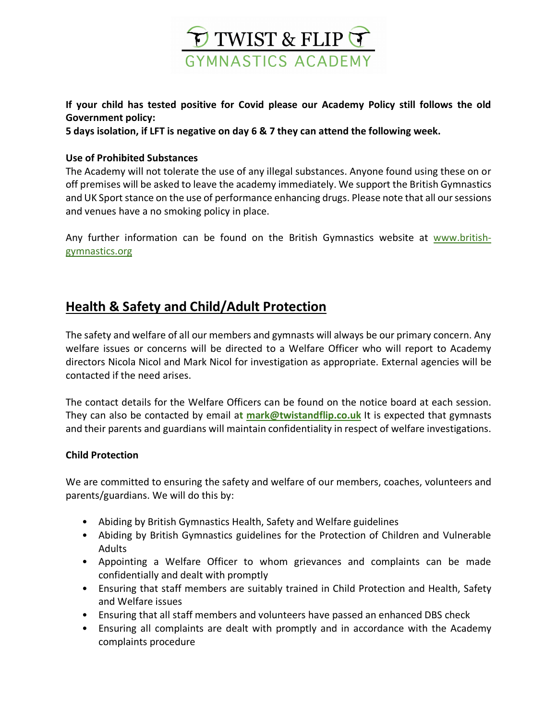

**If your child has tested positive for Covid please our Academy Policy still follows the old Government policy:**

**5 days isolation, if LFT is negative on day 6 & 7 they can attend the following week.** 

#### **Use of Prohibited Substances**

The Academy will not tolerate the use of any illegal substances. Anyone found using these on or off premises will be asked to leave the academy immediately. We support the British Gymnastics and UK Sport stance on the use of performance enhancing drugs. Please note that all our sessions and venues have a no smoking policy in place.

Any further information can be found on the British Gymnastics website at www.britishgymnastics.org

### **Health & Safety and Child/Adult Protection**

The safety and welfare of all our members and gymnasts will always be our primary concern. Any welfare issues or concerns will be directed to a Welfare Officer who will report to Academy directors Nicola Nicol and Mark Nicol for investigation as appropriate. External agencies will be contacted if the need arises.

The contact details for the Welfare Officers can be found on the notice board at each session. They can also be contacted by email a**t mark@twistandflip.co.uk** It is expected that gymnasts and their parents and guardians will maintain confidentiality in respect of welfare investigations.

#### **Child Protection**

We are committed to ensuring the safety and welfare of our members, coaches, volunteers and parents/guardians. We will do this by:

- Abiding by British Gymnastics Health, Safety and Welfare guidelines
- Abiding by British Gymnastics guidelines for the Protection of Children and Vulnerable Adults
- Appointing a Welfare Officer to whom grievances and complaints can be made confidentially and dealt with promptly
- Ensuring that staff members are suitably trained in Child Protection and Health, Safety and Welfare issues
- Ensuring that all staff members and volunteers have passed an enhanced DBS check
- Ensuring all complaints are dealt with promptly and in accordance with the Academy complaints procedure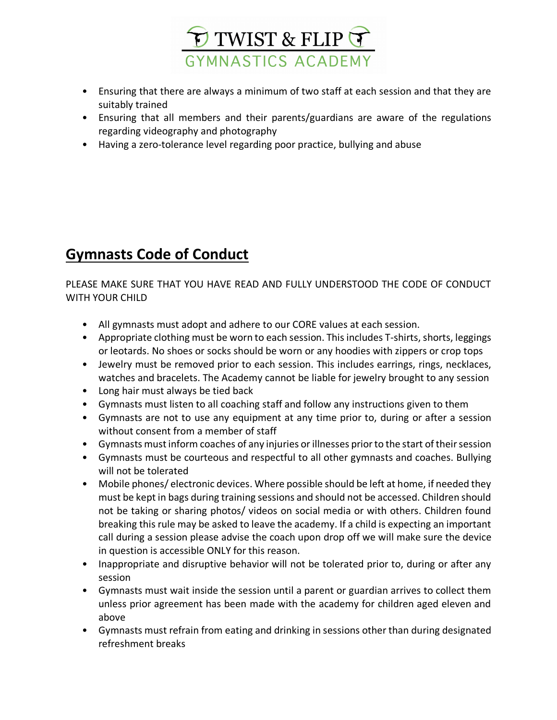

- Ensuring that there are always a minimum of two staff at each session and that they are suitably trained
- Ensuring that all members and their parents/guardians are aware of the regulations regarding videography and photography
- Having a zero-tolerance level regarding poor practice, bullying and abuse

# **Gymnasts Code of Conduct**

PLEASE MAKE SURE THAT YOU HAVE READ AND FULLY UNDERSTOOD THE CODE OF CONDUCT WITH YOUR CHILD

- All gymnasts must adopt and adhere to our CORE values at each session.
- Appropriate clothing must be worn to each session. This includes T-shirts, shorts, leggings or leotards. No shoes or socks should be worn or any hoodies with zippers or crop tops
- Jewelry must be removed prior to each session. This includes earrings, rings, necklaces, watches and bracelets. The Academy cannot be liable for jewelry brought to any session
- Long hair must always be tied back
- Gymnasts must listen to all coaching staff and follow any instructions given to them
- Gymnasts are not to use any equipment at any time prior to, during or after a session without consent from a member of staff
- Gymnasts must inform coaches of any injuries or illnesses prior to the start of their session
- Gymnasts must be courteous and respectful to all other gymnasts and coaches. Bullying will not be tolerated
- Mobile phones/ electronic devices. Where possible should be left at home, if needed they must be kept in bags during training sessions and should not be accessed. Children should not be taking or sharing photos/ videos on social media or with others. Children found breaking this rule may be asked to leave the academy. If a child is expecting an important call during a session please advise the coach upon drop off we will make sure the device in question is accessible ONLY for this reason.
- Inappropriate and disruptive behavior will not be tolerated prior to, during or after any session
- Gymnasts must wait inside the session until a parent or guardian arrives to collect them unless prior agreement has been made with the academy for children aged eleven and above
- Gymnasts must refrain from eating and drinking in sessions other than during designated refreshment breaks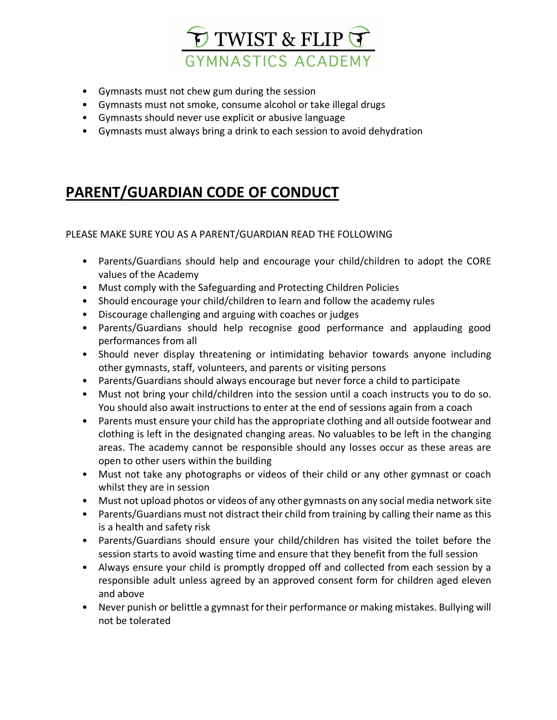

- Gymnasts must not chew gum during the session
- Gymnasts must not smoke, consume alcohol or take illegal drugs
- Gymnasts should never use explicit or abusive language
- Gymnasts must always bring a drink to each session to avoid dehydration

# **PARENT/GUARDIAN CODE OF CONDUCT**

#### PLEASE MAKE SURE YOU AS A PARENT/GUARDIAN READ THE FOLLOWING

- Parents/Guardians should help and encourage your child/children to adopt the CORE values of the Academy
- Must comply with the Safeguarding and Protecting Children Policies
- Should encourage your child/children to learn and follow the academy rules
- Discourage challenging and arguing with coaches or judges
- Parents/Guardians should help recognise good performance and applauding good performances from all
- Should never display threatening or intimidating behavior towards anyone including other gymnasts, staff, volunteers, and parents or visiting persons
- Parents/Guardians should always encourage but never force a child to participate
- Must not bring your child/children into the session until a coach instructs you to do so. You should also await instructions to enter at the end of sessions again from a coach
- Parents must ensure your child has the appropriate clothing and all outside footwear and clothing is left in the designated changing areas. No valuables to be left in the changing areas. The academy cannot be responsible should any losses occur as these areas are open to other users within the building
- Must not take any photographs or videos of their child or any other gymnast or coach whilst they are in session
- Must not upload photos or videos of any other gymnasts on any social media network site
- Parents/Guardians must not distract their child from training by calling their name as this is a health and safety risk
- Parents/Guardians should ensure your child/children has visited the toilet before the session starts to avoid wasting time and ensure that they benefit from the full session
- Always ensure your child is promptly dropped off and collected from each session by a responsible adult unless agreed by an approved consent form for children aged eleven and above
- Never punish or belittle a gymnast for their performance or making mistakes. Bullying will not be tolerated